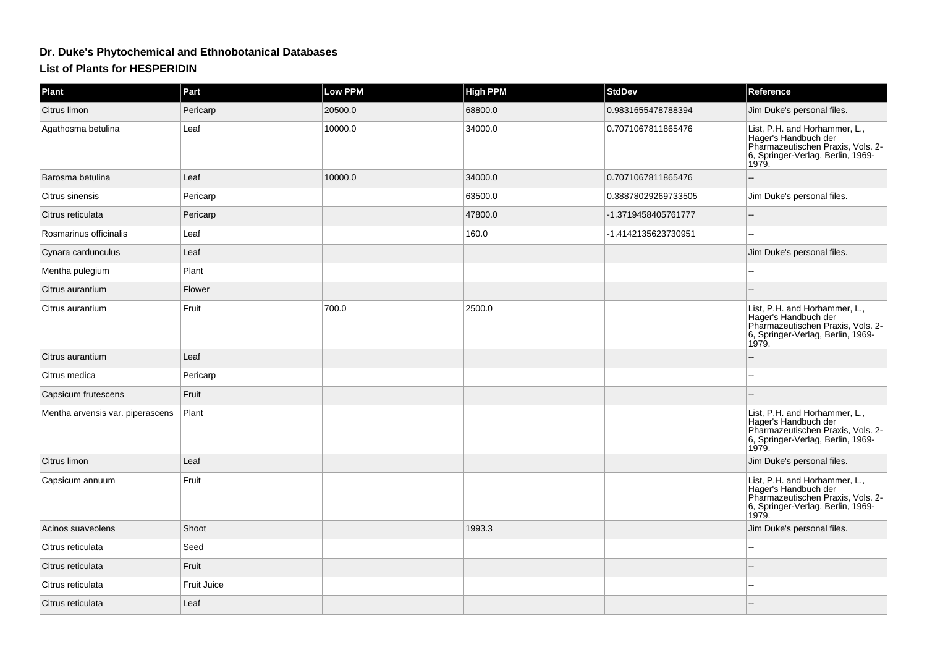## **Dr. Duke's Phytochemical and Ethnobotanical Databases**

## **List of Plants for HESPERIDIN**

| Plant                            | Part        | <b>Low PPM</b> | <b>High PPM</b> | <b>StdDev</b>       | Reference                                                                                                                                |
|----------------------------------|-------------|----------------|-----------------|---------------------|------------------------------------------------------------------------------------------------------------------------------------------|
| Citrus limon                     | Pericarp    | 20500.0        | 68800.0         | 0.9831655478788394  | Jim Duke's personal files.                                                                                                               |
| Agathosma betulina               | Leaf        | 10000.0        | 34000.0         | 0.7071067811865476  | List, P.H. and Horhammer, L.,<br>Hager's Handbuch der<br>Pharmazeutischen Praxis, Vols. 2-<br>6, Springer-Verlag, Berlin, 1969-<br>1979. |
| Barosma betulina                 | Leaf        | 10000.0        | 34000.0         | 0.7071067811865476  | $-$                                                                                                                                      |
| Citrus sinensis                  | Pericarp    |                | 63500.0         | 0.38878029269733505 | Jim Duke's personal files.                                                                                                               |
| Citrus reticulata                | Pericarp    |                | 47800.0         | -1.3719458405761777 | $\mathord{\hspace{1pt}\text{--}\hspace{1pt}}$                                                                                            |
| Rosmarinus officinalis           | Leaf        |                | 160.0           | -1.4142135623730951 | $\sim$ $\sim$                                                                                                                            |
| Cynara cardunculus               | Leaf        |                |                 |                     | Jim Duke's personal files.                                                                                                               |
| Mentha pulegium                  | Plant       |                |                 |                     | $-$                                                                                                                                      |
| Citrus aurantium                 | Flower      |                |                 |                     |                                                                                                                                          |
| Citrus aurantium                 | Fruit       | 700.0          | 2500.0          |                     | List, P.H. and Horhammer, L.,<br>Hager's Handbuch der<br>Pharmazeutischen Praxis, Vols. 2-<br>6, Springer-Verlag, Berlin, 1969-<br>1979. |
| Citrus aurantium                 | Leaf        |                |                 |                     | --                                                                                                                                       |
| Citrus medica                    | Pericarp    |                |                 |                     |                                                                                                                                          |
| Capsicum frutescens              | Fruit       |                |                 |                     |                                                                                                                                          |
| Mentha arvensis var. piperascens | Plant       |                |                 |                     | List, P.H. and Horhammer, L.,<br>Hager's Handbuch der<br>Pharmazeutischen Praxis, Vols. 2-<br>6, Springer-Verlag, Berlin, 1969-<br>1979. |
| Citrus limon                     | Leaf        |                |                 |                     | Jim Duke's personal files.                                                                                                               |
| Capsicum annuum                  | Fruit       |                |                 |                     | List, P.H. and Horhammer, L.,<br>Hager's Handbuch der<br>Pharmazeutischen Praxis, Vols. 2-<br>6, Springer-Verlag, Berlin, 1969-<br>1979. |
| Acinos suaveolens                | Shoot       |                | 1993.3          |                     | Jim Duke's personal files.                                                                                                               |
| Citrus reticulata                | Seed        |                |                 |                     |                                                                                                                                          |
| Citrus reticulata                | Fruit       |                |                 |                     |                                                                                                                                          |
| Citrus reticulata                | Fruit Juice |                |                 |                     |                                                                                                                                          |
| Citrus reticulata                | Leaf        |                |                 |                     |                                                                                                                                          |